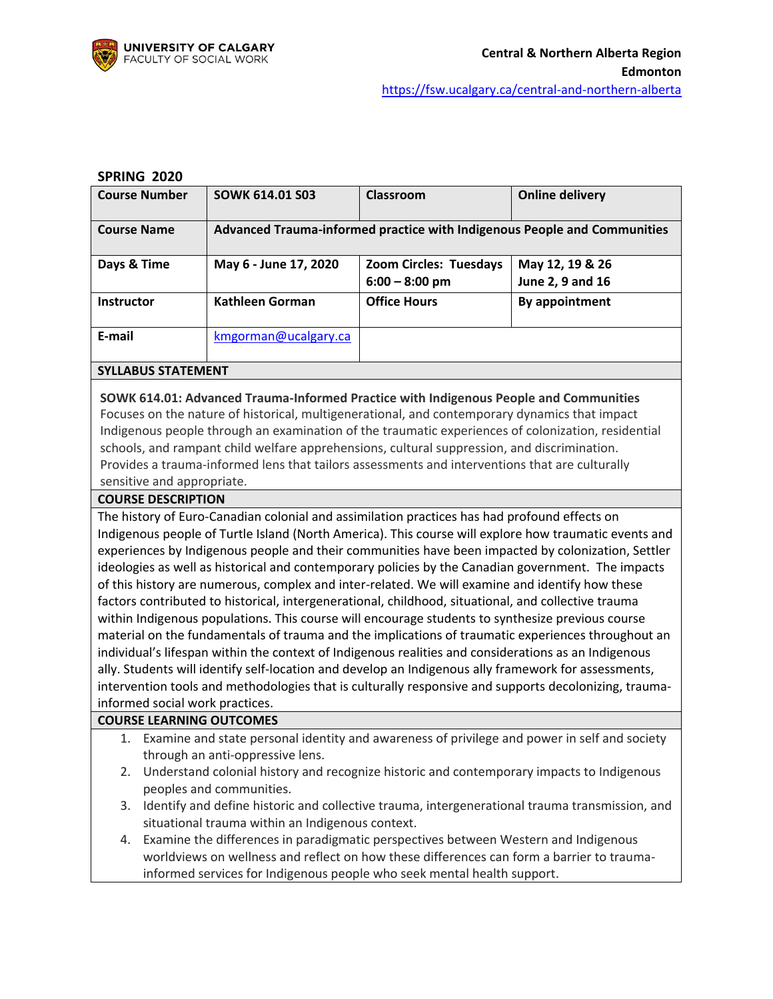

#### **SPRING 2020**

| <b>Course Number</b>      | <b>SOWK 614.01 S03</b> | Classroom                                  | <b>Online delivery</b>                                                   |
|---------------------------|------------------------|--------------------------------------------|--------------------------------------------------------------------------|
| <b>Course Name</b>        |                        |                                            | Advanced Trauma-informed practice with Indigenous People and Communities |
| Days & Time               | May 6 - June 17, 2020  | Zoom Circles: Tuesdays<br>$6:00 - 8:00$ pm | May 12, 19 & 26<br>June 2, 9 and 16                                      |
| <b>Instructor</b>         | Kathleen Gorman        | <b>Office Hours</b>                        | By appointment                                                           |
| E-mail                    | kmgorman@ucalgary.ca   |                                            |                                                                          |
| <b>SYLLABUS STATEMENT</b> |                        |                                            |                                                                          |

**SOWK 614.01: Advanced Trauma-Informed Practice with Indigenous People and Communities** Focuses on the nature of historical, multigenerational, and contemporary dynamics that impact Indigenous people through an examination of the traumatic experiences of colonization, residential schools, and rampant child welfare apprehensions, cultural suppression, and discrimination. Provides a trauma-informed lens that tailors assessments and interventions that are culturally sensitive and appropriate.

#### **COURSE DESCRIPTION**

The history of Euro-Canadian colonial and assimilation practices has had profound effects on Indigenous people of Turtle Island (North America). This course will explore how traumatic events and experiences by Indigenous people and their communities have been impacted by colonization, Settler ideologies as well as historical and contemporary policies by the Canadian government. The impacts of this history are numerous, complex and inter-related. We will examine and identify how these factors contributed to historical, intergenerational, childhood, situational, and collective trauma within Indigenous populations. This course will encourage students to synthesize previous course material on the fundamentals of trauma and the implications of traumatic experiences throughout an individual's lifespan within the context of Indigenous realities and considerations as an Indigenous ally. Students will identify self-location and develop an Indigenous ally framework for assessments, intervention tools and methodologies that is culturally responsive and supports decolonizing, traumainformed social work practices.

#### **COURSE LEARNING OUTCOMES**

- 1. Examine and state personal identity and awareness of privilege and power in self and society through an anti-oppressive lens.
- 2. Understand colonial history and recognize historic and contemporary impacts to Indigenous peoples and communities.
- 3. Identify and define historic and collective trauma, intergenerational trauma transmission, and situational trauma within an Indigenous context.
- 4. Examine the differences in paradigmatic perspectives between Western and Indigenous worldviews on wellness and reflect on how these differences can form a barrier to traumainformed services for Indigenous people who seek mental health support.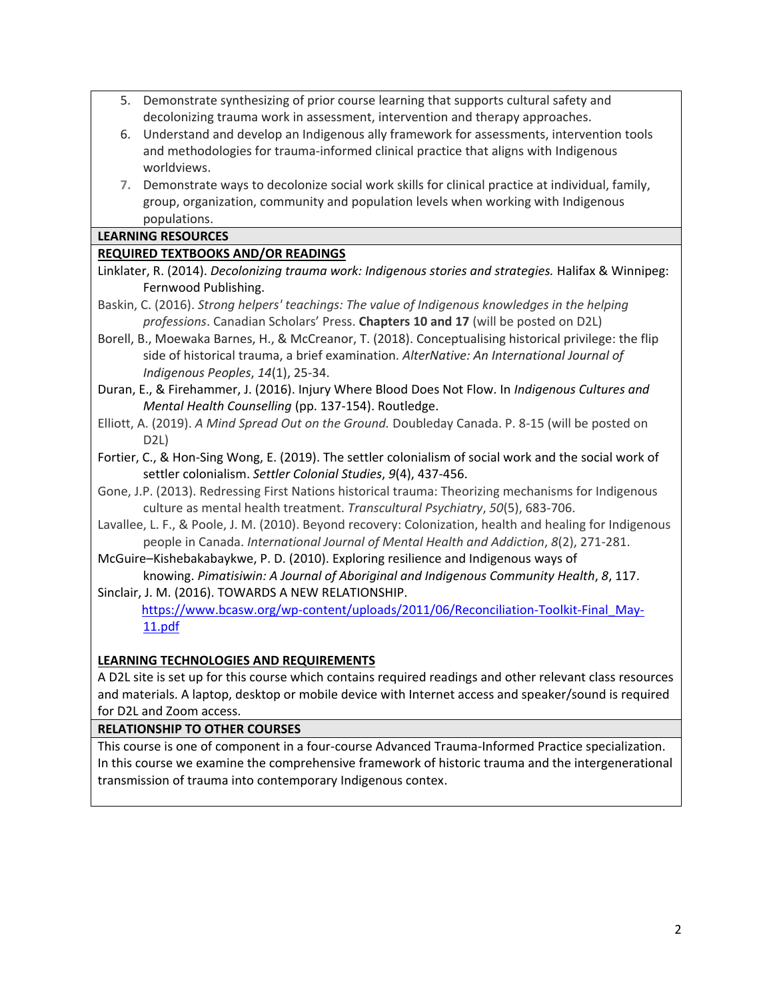- 5. Demonstrate synthesizing of prior course learning that supports cultural safety and decolonizing trauma work in assessment, intervention and therapy approaches.
- 6. Understand and develop an Indigenous ally framework for assessments, intervention tools and methodologies for trauma-informed clinical practice that aligns with Indigenous worldviews.
- **7.** Demonstrate ways to decolonize social work skills for clinical practice at individual, family, group, organization, community and population levels when working with Indigenous populations.

### **LEARNING RESOURCES**

## **REQUIRED TEXTBOOKS AND/OR READINGS**

- Linklater, R. (2014). *Decolonizing trauma work: Indigenous stories and strategies.* Halifax & Winnipeg: Fernwood Publishing.
- Baskin, C. (2016). *Strong helpers' teachings: The value of Indigenous knowledges in the helping professions*. Canadian Scholars' Press. **Chapters 10 and 17** (will be posted on D2L)
- Borell, B., Moewaka Barnes, H., & McCreanor, T. (2018). Conceptualising historical privilege: the flip side of historical trauma, a brief examination. *AlterNative: An International Journal of Indigenous Peoples*, *14*(1), 25-34.
- Duran, E., & Firehammer, J. (2016). Injury Where Blood Does Not Flow. In *Indigenous Cultures and Mental Health Counselling* (pp. 137-154). Routledge.
- Elliott, A. (2019). *A Mind Spread Out on the Ground.* Doubleday Canada. P. 8-15 (will be posted on D2L)
- Fortier, C., & Hon-Sing Wong, E. (2019). The settler colonialism of social work and the social work of settler colonialism. *Settler Colonial Studies*, *9*(4), 437-456.
- Gone, J.P. (2013). Redressing First Nations historical trauma: Theorizing mechanisms for Indigenous culture as mental health treatment. *Transcultural Psychiatry*, *50*(5), 683-706.
- Lavallee, L. F., & Poole, J. M. (2010). Beyond recovery: Colonization, health and healing for Indigenous people in Canada. *International Journal of Mental Health and Addiction*, *8*(2), 271-281.
- McGuire–Kishebakabaykwe, P. D. (2010). Exploring resilience and Indigenous ways of knowing. *Pimatisiwin: A Journal of Aboriginal and Indigenous Community Health*, *8*, 117.
- Sinclair, J. M. (2016). TOWARDS A NEW RELATIONSHIP. [https://www.bcasw.org/wp-content/uploads/2011/06/Reconciliation-Toolkit-Final\\_May-](https://www.bcasw.org/wp-content/uploads/2011/06/Reconciliation-Toolkit-Final_May-11.pdf)[11.pdf](https://www.bcasw.org/wp-content/uploads/2011/06/Reconciliation-Toolkit-Final_May-11.pdf)

### **LEARNING TECHNOLOGIES AND REQUIREMENTS**

A D2L site is set up for this course which contains required readings and other relevant class resources and materials. A laptop, desktop or mobile device with Internet access and speaker/sound is required for D2L and Zoom access.

### **RELATIONSHIP TO OTHER COURSES**

This course is one of component in a four-course Advanced Trauma-Informed Practice specialization. In this course we examine the comprehensive framework of historic trauma and the intergenerational transmission of trauma into contemporary Indigenous contex.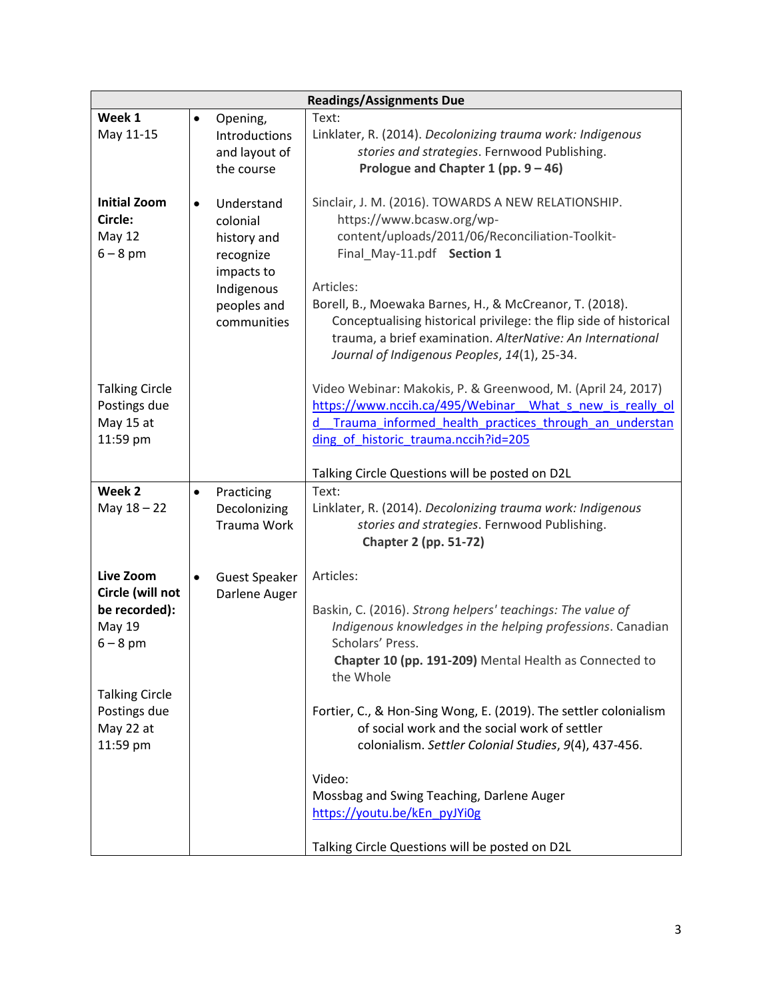|                                                               |           |                                                                                | <b>Readings/Assignments Due</b>                                                                                                                                                                                                            |
|---------------------------------------------------------------|-----------|--------------------------------------------------------------------------------|--------------------------------------------------------------------------------------------------------------------------------------------------------------------------------------------------------------------------------------------|
| Week 1                                                        | $\bullet$ | Opening,                                                                       | Text:                                                                                                                                                                                                                                      |
| May 11-15                                                     |           | Introductions                                                                  | Linklater, R. (2014). Decolonizing trauma work: Indigenous                                                                                                                                                                                 |
|                                                               |           | and layout of                                                                  | stories and strategies. Fernwood Publishing.                                                                                                                                                                                               |
|                                                               |           | the course                                                                     | Prologue and Chapter 1 (pp. $9 - 46$ )                                                                                                                                                                                                     |
| <b>Initial Zoom</b><br>Circle:<br><b>May 12</b><br>$6 - 8$ pm | $\bullet$ | Understand<br>colonial<br>history and<br>recognize<br>impacts to<br>Indigenous | Sinclair, J. M. (2016). TOWARDS A NEW RELATIONSHIP.<br>https://www.bcasw.org/wp-<br>content/uploads/2011/06/Reconciliation-Toolkit-<br>Final_May-11.pdf Section 1<br>Articles:                                                             |
|                                                               |           | peoples and<br>communities                                                     | Borell, B., Moewaka Barnes, H., & McCreanor, T. (2018).<br>Conceptualising historical privilege: the flip side of historical<br>trauma, a brief examination. AlterNative: An International<br>Journal of Indigenous Peoples, 14(1), 25-34. |
| <b>Talking Circle</b>                                         |           |                                                                                | Video Webinar: Makokis, P. & Greenwood, M. (April 24, 2017)                                                                                                                                                                                |
| Postings due                                                  |           |                                                                                | https://www.nccih.ca/495/Webinar What s new is really ol                                                                                                                                                                                   |
| May 15 at                                                     |           |                                                                                | Trauma informed health practices through an understan<br>d                                                                                                                                                                                 |
| 11:59 pm                                                      |           |                                                                                | ding of historic trauma.nccih?id=205                                                                                                                                                                                                       |
|                                                               |           |                                                                                |                                                                                                                                                                                                                                            |
| Week 2                                                        |           |                                                                                | Talking Circle Questions will be posted on D2L                                                                                                                                                                                             |
| May $18 - 22$                                                 | $\bullet$ | Practicing<br>Decolonizing                                                     | Text:<br>Linklater, R. (2014). Decolonizing trauma work: Indigenous                                                                                                                                                                        |
|                                                               |           | Trauma Work                                                                    | stories and strategies. Fernwood Publishing.<br><b>Chapter 2 (pp. 51-72)</b>                                                                                                                                                               |
| Live Zoom                                                     | $\bullet$ | <b>Guest Speaker</b>                                                           | Articles:                                                                                                                                                                                                                                  |
| Circle (will not                                              |           | Darlene Auger                                                                  |                                                                                                                                                                                                                                            |
| be recorded):                                                 |           |                                                                                | Baskin, C. (2016). Strong helpers' teachings: The value of                                                                                                                                                                                 |
| May 19                                                        |           |                                                                                | Indigenous knowledges in the helping professions. Canadian                                                                                                                                                                                 |
| $6 - 8$ pm                                                    |           |                                                                                | Scholars' Press.                                                                                                                                                                                                                           |
|                                                               |           |                                                                                | Chapter 10 (pp. 191-209) Mental Health as Connected to<br>the Whole                                                                                                                                                                        |
| <b>Talking Circle</b>                                         |           |                                                                                |                                                                                                                                                                                                                                            |
| Postings due                                                  |           |                                                                                | Fortier, C., & Hon-Sing Wong, E. (2019). The settler colonialism                                                                                                                                                                           |
| May 22 at                                                     |           |                                                                                | of social work and the social work of settler                                                                                                                                                                                              |
| 11:59 pm                                                      |           |                                                                                | colonialism. Settler Colonial Studies, 9(4), 437-456.                                                                                                                                                                                      |
|                                                               |           |                                                                                |                                                                                                                                                                                                                                            |
|                                                               |           |                                                                                | Video:                                                                                                                                                                                                                                     |
|                                                               |           |                                                                                | Mossbag and Swing Teaching, Darlene Auger<br>https://youtu.be/kEn pyJYi0g                                                                                                                                                                  |
|                                                               |           |                                                                                |                                                                                                                                                                                                                                            |
|                                                               |           |                                                                                | Talking Circle Questions will be posted on D2L                                                                                                                                                                                             |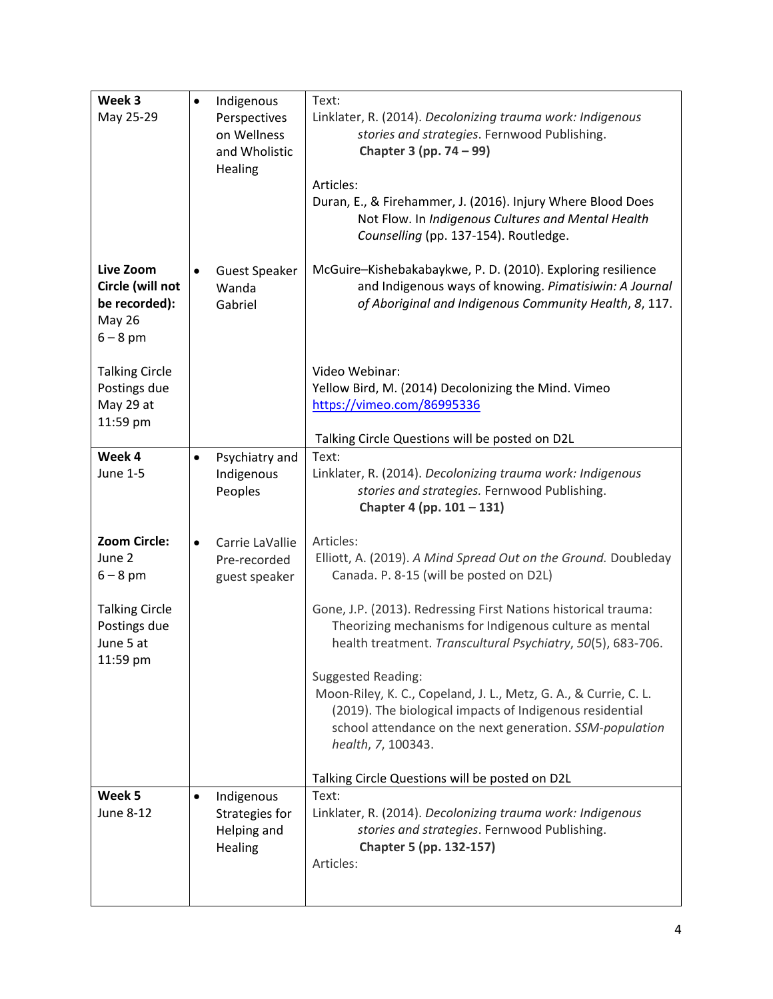| Week 3<br>May 25-29                                                           | $\bullet$ | Indigenous<br>Perspectives<br>on Wellness<br>and Wholistic<br>Healing | Text:<br>Linklater, R. (2014). Decolonizing trauma work: Indigenous<br>stories and strategies. Fernwood Publishing.<br>Chapter 3 (pp. 74 – 99)<br>Articles:<br>Duran, E., & Firehammer, J. (2016). Injury Where Blood Does<br>Not Flow. In Indigenous Cultures and Mental Health<br>Counselling (pp. 137-154). Routledge.                                                                                                                                                                |
|-------------------------------------------------------------------------------|-----------|-----------------------------------------------------------------------|------------------------------------------------------------------------------------------------------------------------------------------------------------------------------------------------------------------------------------------------------------------------------------------------------------------------------------------------------------------------------------------------------------------------------------------------------------------------------------------|
| Live Zoom<br>Circle (will not<br>be recorded):<br><b>May 26</b><br>$6 - 8$ pm | $\bullet$ | <b>Guest Speaker</b><br>Wanda<br>Gabriel                              | McGuire-Kishebakabaykwe, P. D. (2010). Exploring resilience<br>and Indigenous ways of knowing. Pimatisiwin: A Journal<br>of Aboriginal and Indigenous Community Health, 8, 117.                                                                                                                                                                                                                                                                                                          |
| <b>Talking Circle</b><br>Postings due<br>May 29 at<br>11:59 pm                |           |                                                                       | Video Webinar:<br>Yellow Bird, M. (2014) Decolonizing the Mind. Vimeo<br>https://vimeo.com/86995336<br>Talking Circle Questions will be posted on D2L                                                                                                                                                                                                                                                                                                                                    |
| Week 4<br>June 1-5                                                            | $\bullet$ | Psychiatry and<br>Indigenous<br>Peoples                               | Text:<br>Linklater, R. (2014). Decolonizing trauma work: Indigenous<br>stories and strategies. Fernwood Publishing.<br>Chapter 4 (pp. 101 - 131)                                                                                                                                                                                                                                                                                                                                         |
| <b>Zoom Circle:</b><br>June 2<br>$6 - 8$ pm                                   | $\bullet$ | Carrie LaVallie<br>Pre-recorded<br>guest speaker                      | Articles:<br>Elliott, A. (2019). A Mind Spread Out on the Ground. Doubleday<br>Canada. P. 8-15 (will be posted on D2L)                                                                                                                                                                                                                                                                                                                                                                   |
| <b>Talking Circle</b><br>Postings due<br>June 5 at<br>11:59 pm                |           |                                                                       | Gone, J.P. (2013). Redressing First Nations historical trauma:<br>Theorizing mechanisms for Indigenous culture as mental<br>health treatment. Transcultural Psychiatry, 50(5), 683-706.<br><b>Suggested Reading:</b><br>Moon-Riley, K. C., Copeland, J. L., Metz, G. A., & Currie, C. L.<br>(2019). The biological impacts of Indigenous residential<br>school attendance on the next generation. SSM-population<br>health, 7, 100343.<br>Talking Circle Questions will be posted on D2L |
| Week 5<br>June 8-12                                                           | $\bullet$ | Indigenous<br>Strategies for<br>Helping and<br>Healing                | Text:<br>Linklater, R. (2014). Decolonizing trauma work: Indigenous<br>stories and strategies. Fernwood Publishing.<br>Chapter 5 (pp. 132-157)<br>Articles:                                                                                                                                                                                                                                                                                                                              |
|                                                                               |           |                                                                       |                                                                                                                                                                                                                                                                                                                                                                                                                                                                                          |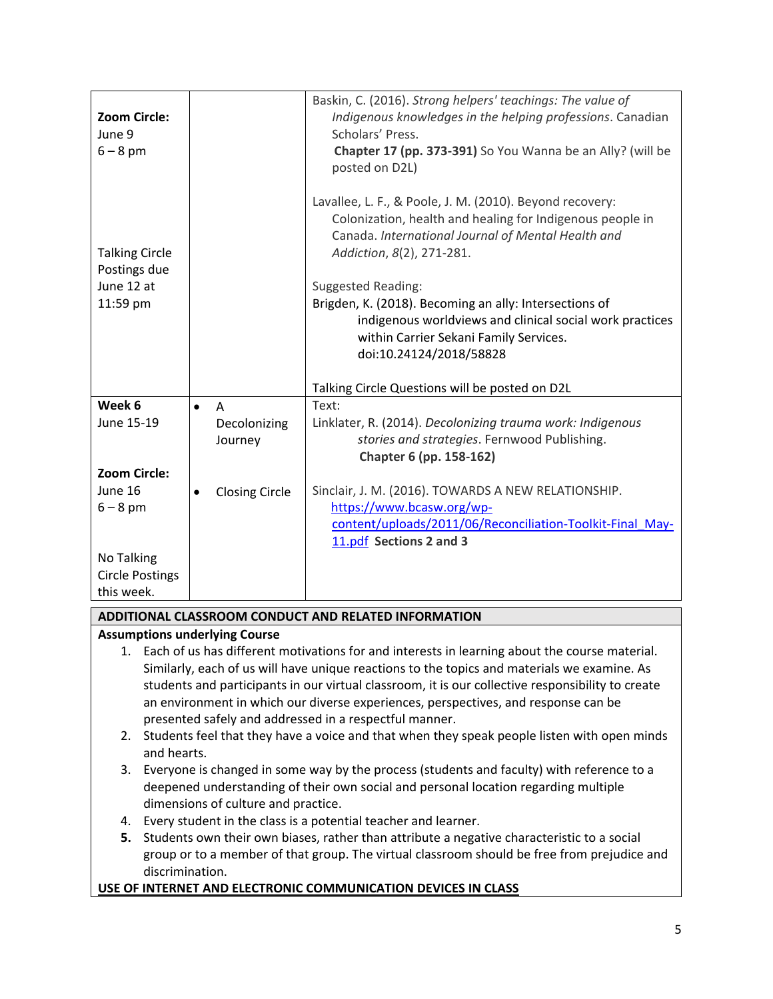| <b>Zoom Circle:</b><br>June 9<br>$6 - 8$ pm         |           |                       | Baskin, C. (2016). Strong helpers' teachings: The value of<br>Indigenous knowledges in the helping professions. Canadian<br>Scholars' Press.<br>Chapter 17 (pp. 373-391) So You Wanna be an Ally? (will be<br>posted on D2L) |
|-----------------------------------------------------|-----------|-----------------------|------------------------------------------------------------------------------------------------------------------------------------------------------------------------------------------------------------------------------|
| <b>Talking Circle</b><br>Postings due<br>June 12 at |           |                       | Lavallee, L. F., & Poole, J. M. (2010). Beyond recovery:<br>Colonization, health and healing for Indigenous people in<br>Canada. International Journal of Mental Health and<br>Addiction, 8(2), 271-281.                     |
| 11:59 pm                                            |           |                       | <b>Suggested Reading:</b><br>Brigden, K. (2018). Becoming an ally: Intersections of<br>indigenous worldviews and clinical social work practices                                                                              |
|                                                     |           |                       | within Carrier Sekani Family Services.<br>doi:10.24124/2018/58828                                                                                                                                                            |
|                                                     |           |                       | Talking Circle Questions will be posted on D2L                                                                                                                                                                               |
| Week 6                                              | $\bullet$ | $\Lambda$             | Text:                                                                                                                                                                                                                        |
| June 15-19                                          |           | Decolonizing          | Linklater, R. (2014). Decolonizing trauma work: Indigenous                                                                                                                                                                   |
|                                                     |           | Journey               | stories and strategies. Fernwood Publishing.                                                                                                                                                                                 |
|                                                     |           |                       | Chapter 6 (pp. 158-162)                                                                                                                                                                                                      |
| <b>Zoom Circle:</b>                                 |           |                       |                                                                                                                                                                                                                              |
| June 16                                             | $\bullet$ | <b>Closing Circle</b> | Sinclair, J. M. (2016). TOWARDS A NEW RELATIONSHIP.                                                                                                                                                                          |
| $6 - 8$ pm                                          |           |                       | https://www.bcasw.org/wp-                                                                                                                                                                                                    |
|                                                     |           |                       | content/uploads/2011/06/Reconciliation-Toolkit-Final May-                                                                                                                                                                    |
| No Talking                                          |           |                       | 11.pdf Sections 2 and 3                                                                                                                                                                                                      |
| <b>Circle Postings</b>                              |           |                       |                                                                                                                                                                                                                              |
| this week.                                          |           |                       |                                                                                                                                                                                                                              |
|                                                     |           |                       |                                                                                                                                                                                                                              |

### **ADDITIONAL CLASSROOM CONDUCT AND RELATED INFORMATION**

### **Assumptions underlying Course**

- 1. Each of us has different motivations for and interests in learning about the course material. Similarly, each of us will have unique reactions to the topics and materials we examine. As students and participants in our virtual classroom, it is our collective responsibility to create an environment in which our diverse experiences, perspectives, and response can be presented safely and addressed in a respectful manner.
- 2. Students feel that they have a voice and that when they speak people listen with open minds and hearts.
- 3. Everyone is changed in some way by the process (students and faculty) with reference to a deepened understanding of their own social and personal location regarding multiple dimensions of culture and practice.
- 4. Every student in the class is a potential teacher and learner.
- **5.** Students own their own biases, rather than attribute a negative characteristic to a social group or to a member of that group. The virtual classroom should be free from prejudice and discrimination.

### **USE OF INTERNET AND ELECTRONIC COMMUNICATION DEVICES IN CLASS**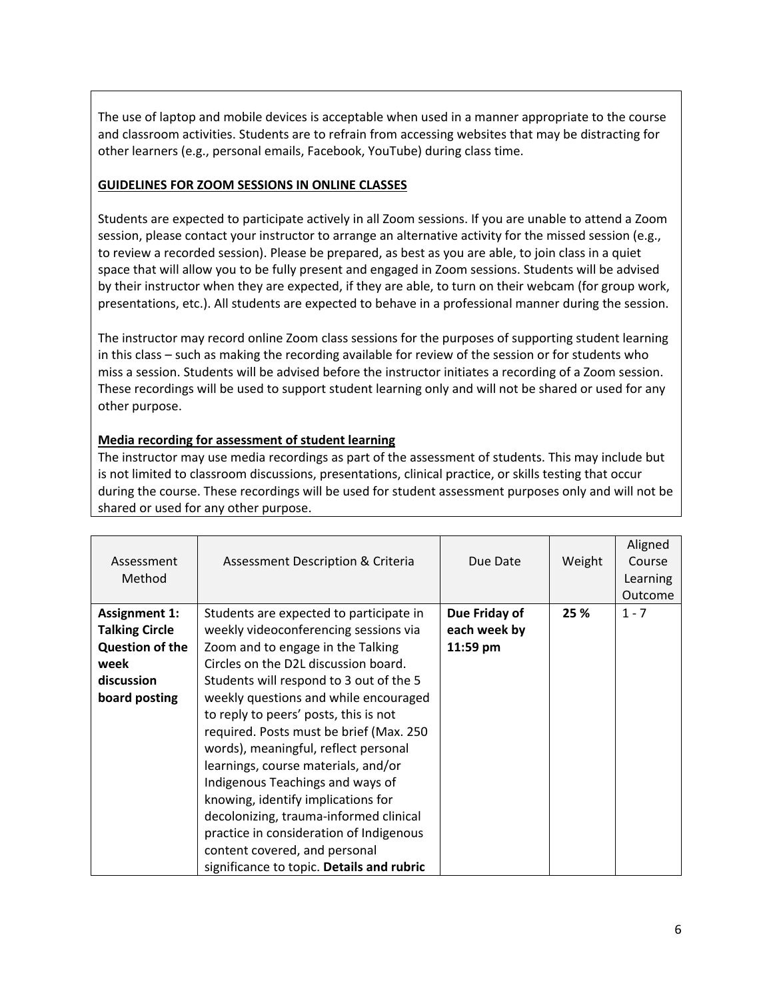The use of laptop and mobile devices is acceptable when used in a manner appropriate to the course and classroom activities. Students are to refrain from accessing websites that may be distracting for other learners (e.g., personal emails, Facebook, YouTube) during class time.

## **GUIDELINES FOR ZOOM SESSIONS IN ONLINE CLASSES**

Students are expected to participate actively in all Zoom sessions. If you are unable to attend a Zoom session, please contact your instructor to arrange an alternative activity for the missed session (e.g., to review a recorded session). Please be prepared, as best as you are able, to join class in a quiet space that will allow you to be fully present and engaged in Zoom sessions. Students will be advised by their instructor when they are expected, if they are able, to turn on their webcam (for group work, presentations, etc.). All students are expected to behave in a professional manner during the session.

The instructor may record online Zoom class sessions for the purposes of supporting student learning in this class – such as making the recording available for review of the session or for students who miss a session. Students will be advised before the instructor initiates a recording of a Zoom session. These recordings will be used to support student learning only and will not be shared or used for any other purpose.

## **Media recording for assessment of student learning**

The instructor may use media recordings as part of the assessment of students. This may include but is not limited to classroom discussions, presentations, clinical practice, or skills testing that occur during the course. These recordings will be used for student assessment purposes only and will not be shared or used for any other purpose.

| Assessment<br>Method                                                                                           | Assessment Description & Criteria                                                                                                                                                                                                                                                                                                                                                                                                                                                                                                                                                                                                                                 | Due Date                                  | Weight | Aligned<br>Course<br>Learning<br>Outcome |
|----------------------------------------------------------------------------------------------------------------|-------------------------------------------------------------------------------------------------------------------------------------------------------------------------------------------------------------------------------------------------------------------------------------------------------------------------------------------------------------------------------------------------------------------------------------------------------------------------------------------------------------------------------------------------------------------------------------------------------------------------------------------------------------------|-------------------------------------------|--------|------------------------------------------|
| <b>Assignment 1:</b><br><b>Talking Circle</b><br><b>Question of the</b><br>week<br>discussion<br>board posting | Students are expected to participate in<br>weekly videoconferencing sessions via<br>Zoom and to engage in the Talking<br>Circles on the D2L discussion board.<br>Students will respond to 3 out of the 5<br>weekly questions and while encouraged<br>to reply to peers' posts, this is not<br>required. Posts must be brief (Max. 250<br>words), meaningful, reflect personal<br>learnings, course materials, and/or<br>Indigenous Teachings and ways of<br>knowing, identify implications for<br>decolonizing, trauma-informed clinical<br>practice in consideration of Indigenous<br>content covered, and personal<br>significance to topic. Details and rubric | Due Friday of<br>each week by<br>11:59 pm | 25 %   | $1 - 7$                                  |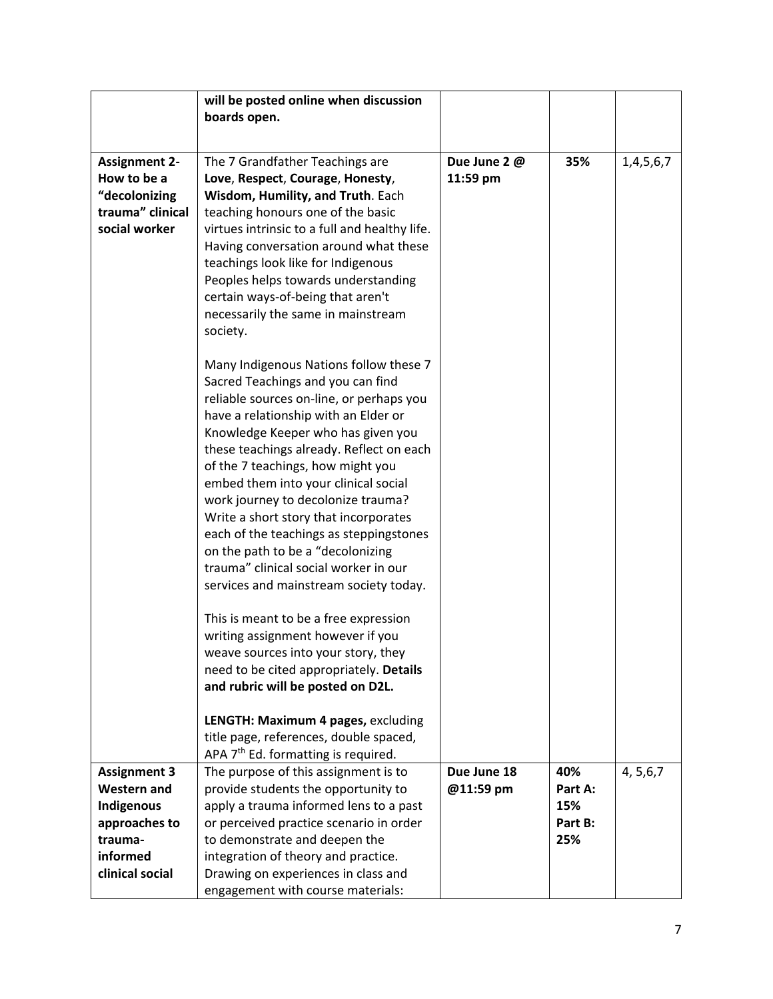|                                           | will be posted online when discussion                                                  |                          |                |            |
|-------------------------------------------|----------------------------------------------------------------------------------------|--------------------------|----------------|------------|
|                                           | boards open.                                                                           |                          |                |            |
|                                           |                                                                                        |                          |                |            |
| <b>Assignment 2-</b>                      | The 7 Grandfather Teachings are                                                        | Due June 2 @             | 35%            | 1,4,5,6,7  |
| How to be a                               | Love, Respect, Courage, Honesty,                                                       | 11:59 pm                 |                |            |
| "decolonizing                             | Wisdom, Humility, and Truth. Each                                                      |                          |                |            |
| trauma" clinical<br>social worker         | teaching honours one of the basic                                                      |                          |                |            |
|                                           | virtues intrinsic to a full and healthy life.<br>Having conversation around what these |                          |                |            |
|                                           | teachings look like for Indigenous                                                     |                          |                |            |
|                                           | Peoples helps towards understanding                                                    |                          |                |            |
|                                           | certain ways-of-being that aren't                                                      |                          |                |            |
|                                           | necessarily the same in mainstream                                                     |                          |                |            |
|                                           | society.                                                                               |                          |                |            |
|                                           |                                                                                        |                          |                |            |
|                                           | Many Indigenous Nations follow these 7<br>Sacred Teachings and you can find            |                          |                |            |
|                                           | reliable sources on-line, or perhaps you                                               |                          |                |            |
|                                           | have a relationship with an Elder or                                                   |                          |                |            |
|                                           | Knowledge Keeper who has given you                                                     |                          |                |            |
|                                           | these teachings already. Reflect on each                                               |                          |                |            |
|                                           | of the 7 teachings, how might you                                                      |                          |                |            |
|                                           | embed them into your clinical social                                                   |                          |                |            |
|                                           | work journey to decolonize trauma?                                                     |                          |                |            |
|                                           | Write a short story that incorporates                                                  |                          |                |            |
|                                           | each of the teachings as steppingstones<br>on the path to be a "decolonizing           |                          |                |            |
|                                           | trauma" clinical social worker in our                                                  |                          |                |            |
|                                           | services and mainstream society today.                                                 |                          |                |            |
|                                           |                                                                                        |                          |                |            |
|                                           | This is meant to be a free expression                                                  |                          |                |            |
|                                           | writing assignment however if you                                                      |                          |                |            |
|                                           | weave sources into your story, they<br>need to be cited appropriately. Details         |                          |                |            |
|                                           | and rubric will be posted on D2L.                                                      |                          |                |            |
|                                           |                                                                                        |                          |                |            |
|                                           | LENGTH: Maximum 4 pages, excluding                                                     |                          |                |            |
|                                           | title page, references, double spaced,                                                 |                          |                |            |
|                                           | APA 7 <sup>th</sup> Ed. formatting is required.                                        |                          |                |            |
| <b>Assignment 3</b><br><b>Western and</b> | The purpose of this assignment is to<br>provide students the opportunity to            | Due June 18<br>@11:59 pm | 40%<br>Part A: | 4, 5, 6, 7 |
| Indigenous                                | apply a trauma informed lens to a past                                                 |                          | 15%            |            |
| approaches to                             | or perceived practice scenario in order                                                |                          | Part B:        |            |
| trauma-                                   | to demonstrate and deepen the                                                          |                          | 25%            |            |
| informed                                  | integration of theory and practice.                                                    |                          |                |            |
| clinical social                           | Drawing on experiences in class and                                                    |                          |                |            |
|                                           | engagement with course materials:                                                      |                          |                |            |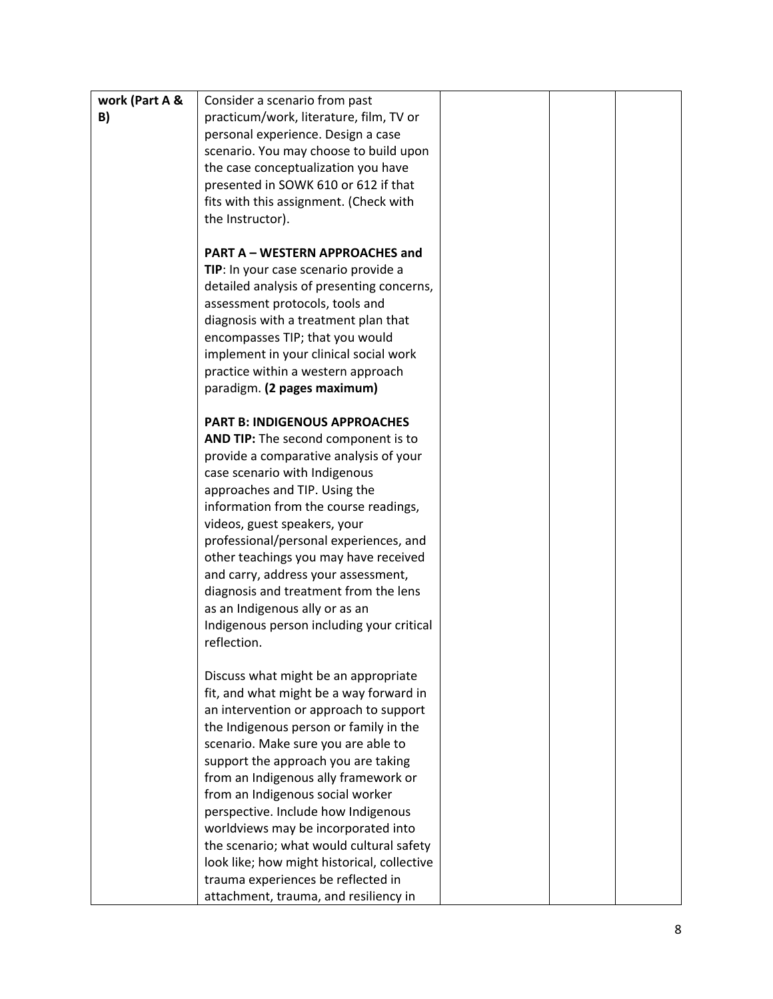| work (Part A & | Consider a scenario from past               |  |
|----------------|---------------------------------------------|--|
| B)             | practicum/work, literature, film, TV or     |  |
|                | personal experience. Design a case          |  |
|                | scenario. You may choose to build upon      |  |
|                | the case conceptualization you have         |  |
|                | presented in SOWK 610 or 612 if that        |  |
|                | fits with this assignment. (Check with      |  |
|                | the Instructor).                            |  |
|                |                                             |  |
|                | <b>PART A - WESTERN APPROACHES and</b>      |  |
|                | TIP: In your case scenario provide a        |  |
|                | detailed analysis of presenting concerns,   |  |
|                |                                             |  |
|                | assessment protocols, tools and             |  |
|                | diagnosis with a treatment plan that        |  |
|                | encompasses TIP; that you would             |  |
|                | implement in your clinical social work      |  |
|                | practice within a western approach          |  |
|                | paradigm. (2 pages maximum)                 |  |
|                |                                             |  |
|                | <b>PART B: INDIGENOUS APPROACHES</b>        |  |
|                | AND TIP: The second component is to         |  |
|                | provide a comparative analysis of your      |  |
|                | case scenario with Indigenous               |  |
|                | approaches and TIP. Using the               |  |
|                | information from the course readings,       |  |
|                | videos, guest speakers, your                |  |
|                | professional/personal experiences, and      |  |
|                | other teachings you may have received       |  |
|                | and carry, address your assessment,         |  |
|                | diagnosis and treatment from the lens       |  |
|                | as an Indigenous ally or as an              |  |
|                | Indigenous person including your critical   |  |
|                | reflection.                                 |  |
|                |                                             |  |
|                | Discuss what might be an appropriate        |  |
|                | fit, and what might be a way forward in     |  |
|                | an intervention or approach to support      |  |
|                | the Indigenous person or family in the      |  |
|                | scenario. Make sure you are able to         |  |
|                | support the approach you are taking         |  |
|                | from an Indigenous ally framework or        |  |
|                | from an Indigenous social worker            |  |
|                | perspective. Include how Indigenous         |  |
|                | worldviews may be incorporated into         |  |
|                | the scenario; what would cultural safety    |  |
|                | look like; how might historical, collective |  |
|                | trauma experiences be reflected in          |  |
|                | attachment, trauma, and resiliency in       |  |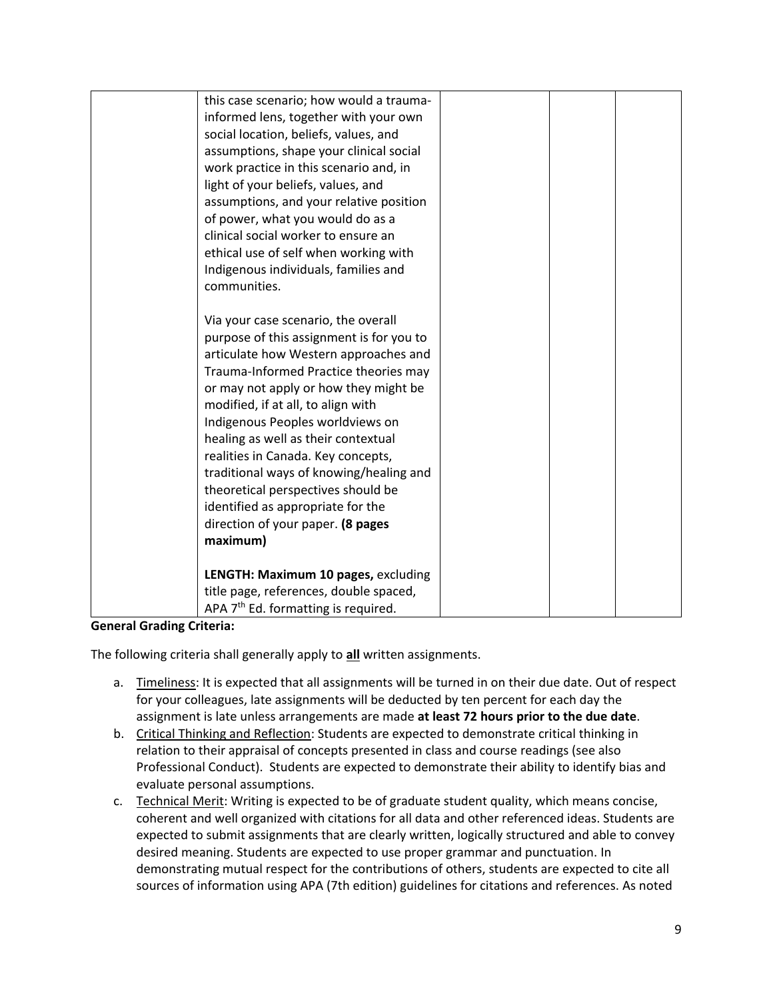| this case scenario; how would a trauma-<br>informed lens, together with your own<br>social location, beliefs, values, and<br>assumptions, shape your clinical social<br>work practice in this scenario and, in<br>light of your beliefs, values, and<br>assumptions, and your relative position<br>of power, what you would do as a<br>clinical social worker to ensure an<br>ethical use of self when working with<br>Indigenous individuals, families and<br>communities.<br>Via your case scenario, the overall<br>purpose of this assignment is for you to<br>articulate how Western approaches and<br>Trauma-Informed Practice theories may<br>or may not apply or how they might be |  |  |
|-------------------------------------------------------------------------------------------------------------------------------------------------------------------------------------------------------------------------------------------------------------------------------------------------------------------------------------------------------------------------------------------------------------------------------------------------------------------------------------------------------------------------------------------------------------------------------------------------------------------------------------------------------------------------------------------|--|--|
| modified, if at all, to align with<br>Indigenous Peoples worldviews on                                                                                                                                                                                                                                                                                                                                                                                                                                                                                                                                                                                                                    |  |  |
| healing as well as their contextual<br>realities in Canada. Key concepts,<br>traditional ways of knowing/healing and<br>theoretical perspectives should be                                                                                                                                                                                                                                                                                                                                                                                                                                                                                                                                |  |  |
| identified as appropriate for the<br>direction of your paper. (8 pages<br>maximum)                                                                                                                                                                                                                                                                                                                                                                                                                                                                                                                                                                                                        |  |  |
| LENGTH: Maximum 10 pages, excluding<br>title page, references, double spaced,<br>APA $7th$ Ed. formatting is required.                                                                                                                                                                                                                                                                                                                                                                                                                                                                                                                                                                    |  |  |

**General Grading Criteria:**

The following criteria shall generally apply to **all** written assignments.

- a. Timeliness: It is expected that all assignments will be turned in on their due date. Out of respect for your colleagues, late assignments will be deducted by ten percent for each day the assignment is late unless arrangements are made **at least 72 hours prior to the due date**.
- b. Critical Thinking and Reflection: Students are expected to demonstrate critical thinking in relation to their appraisal of concepts presented in class and course readings (see also Professional Conduct). Students are expected to demonstrate their ability to identify bias and evaluate personal assumptions.
- c. Technical Merit: Writing is expected to be of graduate student quality, which means concise, coherent and well organized with citations for all data and other referenced ideas. Students are expected to submit assignments that are clearly written, logically structured and able to convey desired meaning. Students are expected to use proper grammar and punctuation. In demonstrating mutual respect for the contributions of others, students are expected to cite all sources of information using APA (7th edition) guidelines for citations and references. As noted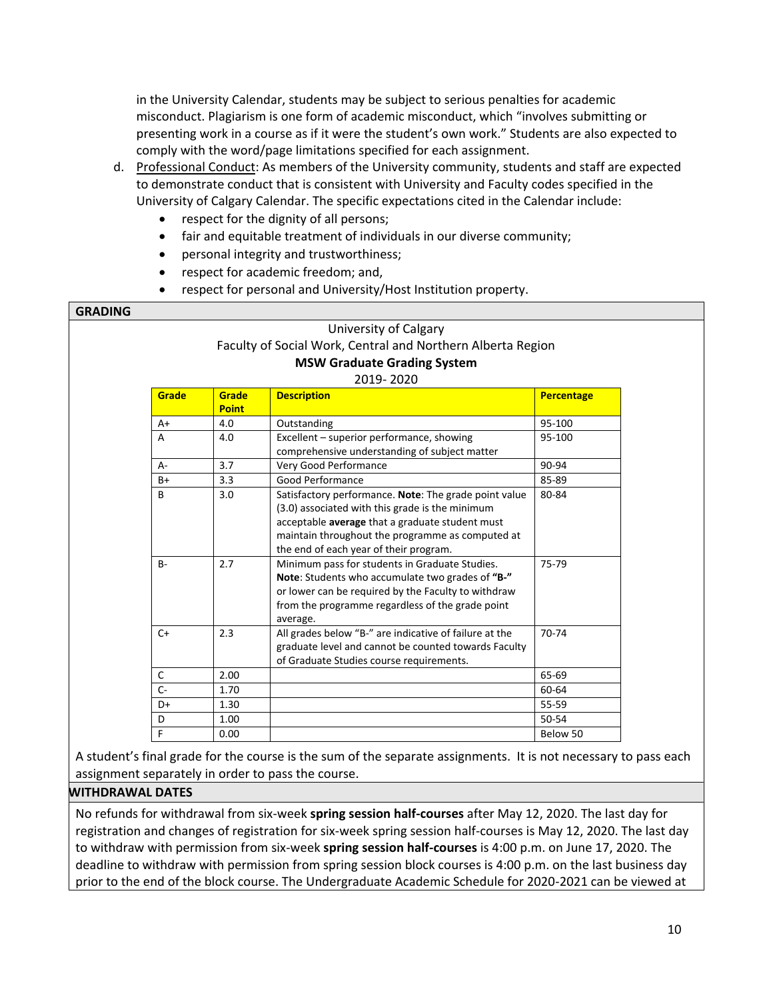in the University Calendar, students may be subject to serious penalties for academic misconduct. Plagiarism is one form of academic misconduct, which "involves submitting or presenting work in a course as if it were the student's own work." Students are also expected to comply with the word/page limitations specified for each assignment.

- d. Professional Conduct: As members of the University community, students and staff are expected to demonstrate conduct that is consistent with University and Faculty codes specified in the University of Calgary Calendar. The specific expectations cited in the Calendar include:
	- respect for the dignity of all persons;
	- fair and equitable treatment of individuals in our diverse community;
	- personal integrity and trustworthiness;
	- respect for academic freedom; and,
	- respect for personal and University/Host Institution property.

|       |                       | University of Calgary                                                                                                                                                                                                                                     |                   |
|-------|-----------------------|-----------------------------------------------------------------------------------------------------------------------------------------------------------------------------------------------------------------------------------------------------------|-------------------|
|       |                       | Faculty of Social Work, Central and Northern Alberta Region                                                                                                                                                                                               |                   |
|       |                       | <b>MSW Graduate Grading System</b>                                                                                                                                                                                                                        |                   |
|       |                       | 2019-2020                                                                                                                                                                                                                                                 |                   |
| Grade | Grade<br><b>Point</b> | <b>Description</b>                                                                                                                                                                                                                                        | <b>Percentage</b> |
| A+    | 4.0                   | Outstanding                                                                                                                                                                                                                                               | 95-100            |
| A     | 4.0                   | Excellent - superior performance, showing<br>comprehensive understanding of subject matter                                                                                                                                                                | 95-100            |
| $A -$ | 3.7                   | Very Good Performance                                                                                                                                                                                                                                     | 90-94             |
| $B+$  | 3.3                   | Good Performance                                                                                                                                                                                                                                          | 85-89             |
| B     | 3.0                   | Satisfactory performance. Note: The grade point value<br>(3.0) associated with this grade is the minimum<br>acceptable average that a graduate student must<br>maintain throughout the programme as computed at<br>the end of each year of their program. | 80-84             |
| $B -$ | 2.7                   | Minimum pass for students in Graduate Studies.<br>Note: Students who accumulate two grades of "B-"<br>or lower can be required by the Faculty to withdraw<br>from the programme regardless of the grade point<br>average.                                 | 75-79             |
| $C+$  | 2.3                   | All grades below "B-" are indicative of failure at the<br>graduate level and cannot be counted towards Faculty<br>of Graduate Studies course requirements.                                                                                                | 70-74             |
| C     | 2.00                  |                                                                                                                                                                                                                                                           | 65-69             |
| $C -$ | 1.70                  |                                                                                                                                                                                                                                                           | 60-64             |
| D+    | 1.30                  |                                                                                                                                                                                                                                                           | 55-59             |
| D     | 1.00                  |                                                                                                                                                                                                                                                           | $50 - 54$         |
| F     | 0.00                  |                                                                                                                                                                                                                                                           | Below 50          |

A student's final grade for the course is the sum of the separate assignments. It is not necessary to pass each assignment separately in order to pass the course.

#### **WITHDRAWAL DATES**

No refunds for withdrawal from six-week **spring session half-courses** after May 12, 2020. The last day for registration and changes of registration for six-week spring session half-courses is May 12, 2020. The last day to withdraw with permission from six-week **spring session half-courses** is 4:00 p.m. on June 17, 2020. The deadline to withdraw with permission from spring session block courses is 4:00 p.m. on the last business day prior to the end of the block course. The Undergraduate Academic Schedule for 2020-2021 can be viewed at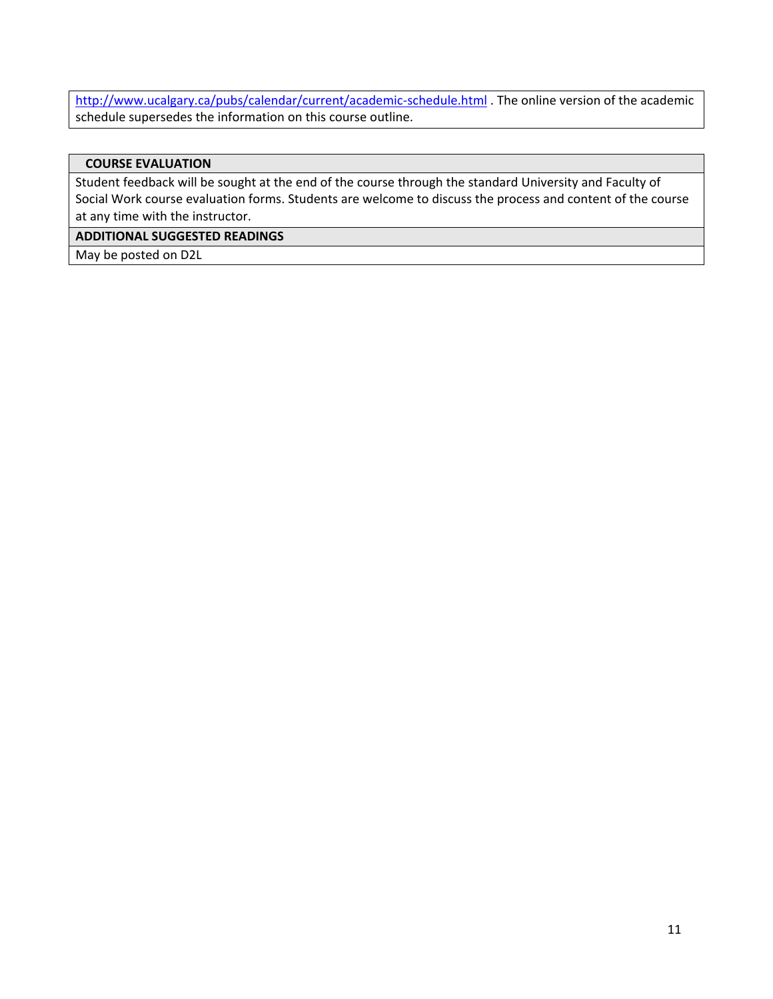<http://www.ucalgary.ca/pubs/calendar/current/academic-schedule.html> . The online version of the academic schedule supersedes the information on this course outline.

#### **COURSE EVALUATION**

Student feedback will be sought at the end of the course through the standard University and Faculty of Social Work course evaluation forms. Students are welcome to discuss the process and content of the course at any time with the instructor.

### **ADDITIONAL SUGGESTED READINGS**

May be posted on D2L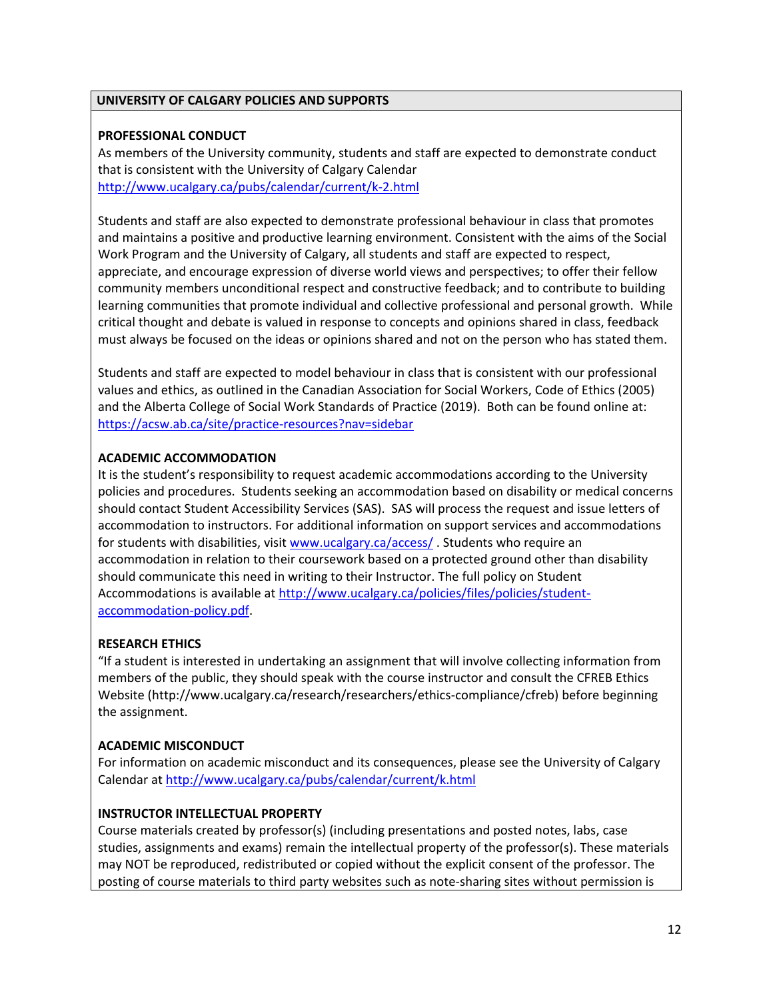### **UNIVERSITY OF CALGARY POLICIES AND SUPPORTS**

### **PROFESSIONAL CONDUCT**

As members of the University community, students and staff are expected to demonstrate conduct that is consistent with the University of Calgary Calendar <http://www.ucalgary.ca/pubs/calendar/current/k-2.html>

Students and staff are also expected to demonstrate professional behaviour in class that promotes and maintains a positive and productive learning environment. Consistent with the aims of the Social Work Program and the University of Calgary, all students and staff are expected to respect, appreciate, and encourage expression of diverse world views and perspectives; to offer their fellow community members unconditional respect and constructive feedback; and to contribute to building learning communities that promote individual and collective professional and personal growth. While critical thought and debate is valued in response to concepts and opinions shared in class, feedback must always be focused on the ideas or opinions shared and not on the person who has stated them.

Students and staff are expected to model behaviour in class that is consistent with our professional values and ethics, as outlined in the Canadian Association for Social Workers, Code of Ethics (2005) and the Alberta College of Social Work Standards of Practice (2019). Both can be found online at: <https://acsw.ab.ca/site/practice-resources?nav=sidebar>

### **ACADEMIC ACCOMMODATION**

It is the student's responsibility to request academic accommodations according to the University policies and procedures. Students seeking an accommodation based on disability or medical concerns should contact Student Accessibility Services (SAS). SAS will process the request and issue letters of accommodation to instructors. For additional information on support services and accommodations for students with disabilities, visi[t www.ucalgary.ca/access/](http://www.ucalgary.ca/access/) . Students who require an accommodation in relation to their coursework based on a protected ground other than disability should communicate this need in writing to their Instructor. The full policy on Student Accommodations is available at [http://www.ucalgary.ca/policies/files/policies/student](http://www.ucalgary.ca/policies/files/policies/student-accommodation-policy.pdf)[accommodation-policy.pdf.](http://www.ucalgary.ca/policies/files/policies/student-accommodation-policy.pdf)

### **RESEARCH ETHICS**

"If a student is interested in undertaking an assignment that will involve collecting information from members of the public, they should speak with the course instructor and consult the CFREB Ethics Website [\(http://www.ucalgary.ca/research/researchers/ethics-compliance/cfreb\)](http://www.ucalgary.ca/research/researchers/ethics-compliance/cfreb) before beginning the assignment.

### **ACADEMIC MISCONDUCT**

For information on academic misconduct and its consequences, please see the University of Calgary Calendar at<http://www.ucalgary.ca/pubs/calendar/current/k.html>

#### **INSTRUCTOR INTELLECTUAL PROPERTY**

Course materials created by professor(s) (including presentations and posted notes, labs, case studies, assignments and exams) remain the intellectual property of the professor(s). These materials may NOT be reproduced, redistributed or copied without the explicit consent of the professor. The posting of course materials to third party websites such as note-sharing sites without permission is